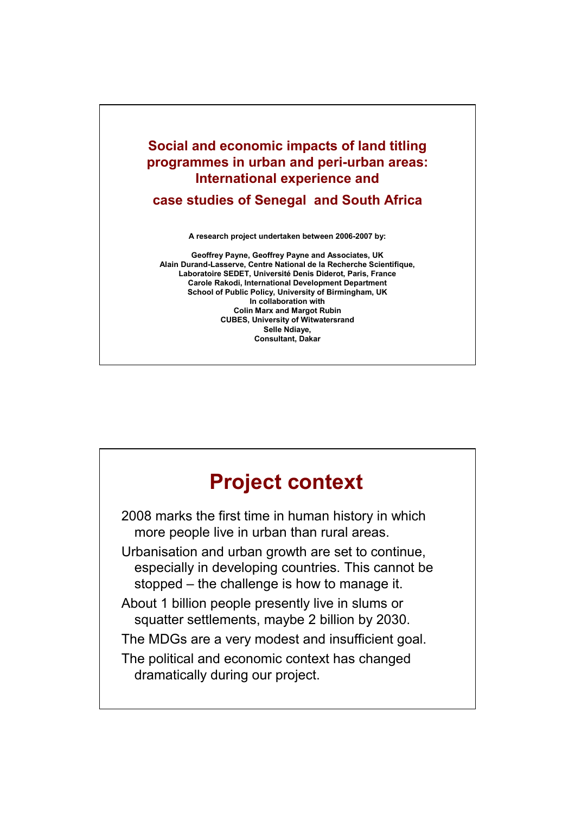#### **Social and economic impacts of land titling programmes in urban and peri-urban areas: International experience and**

**case studies of Senegal and South Africa**

**A research project undertaken between 2006-2007 by:**

**Geoffrey Payne, Geoffrey Payne and Associates, UK Alain Durand-Lasserve, Centre National de la Recherche Scientifique, Laboratoire SEDET, Université Denis Diderot, Paris, France Carole Rakodi, International Development Department School of Public Policy, University of Birmingham, UK In collaboration with Colin Marx and Margot Rubin CUBES, University of Witwatersrand Selle Ndiaye, Consultant, Dakar**

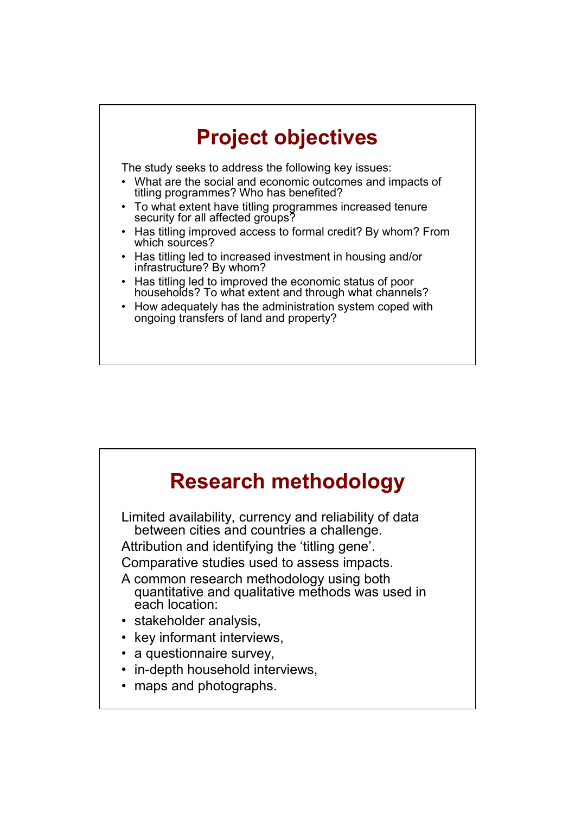# **Project objectives**

The study seeks to address the following key issues:

- What are the social and economic outcomes and impacts of titling programmes? Who has benefited?
- To what extent have titling programmes increased tenure security for all affected groups?
- Has titling improved access to formal credit? By whom? From which sources?
- Has titling led to increased investment in housing and/or infrastructure? By whom?
- Has titling led to improved the economic status of poor households? To what extent and through what channels?
- How adequately has the administration system coped with ongoing transfers of land and property?

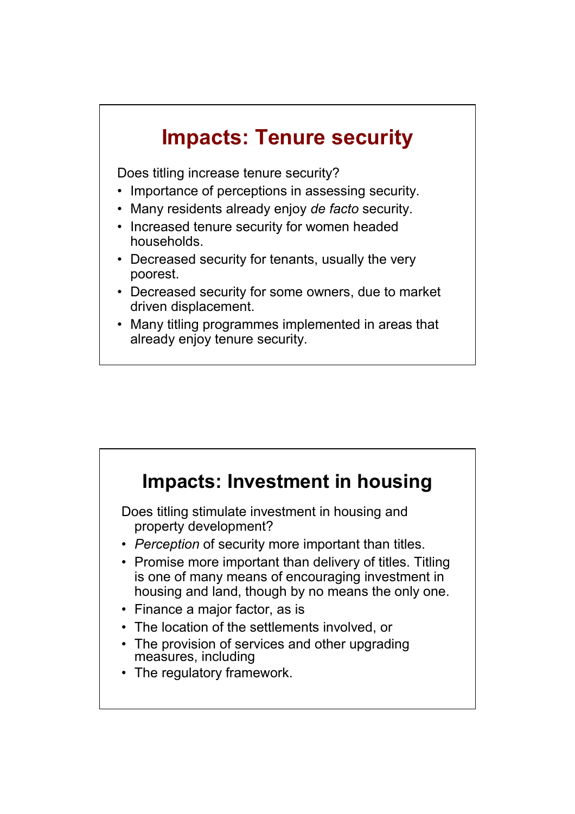## **Impacts: Tenure security**

Does titling increase tenure security?

- Importance of perceptions in assessing security.
- Many residents already enjoy *de facto* security.
- Increased tenure security for women headed households.
- Decreased security for tenants, usually the very poorest.
- Decreased security for some owners, due to market driven displacement.
- Many titling programmes implemented in areas that already enjoy tenure security.

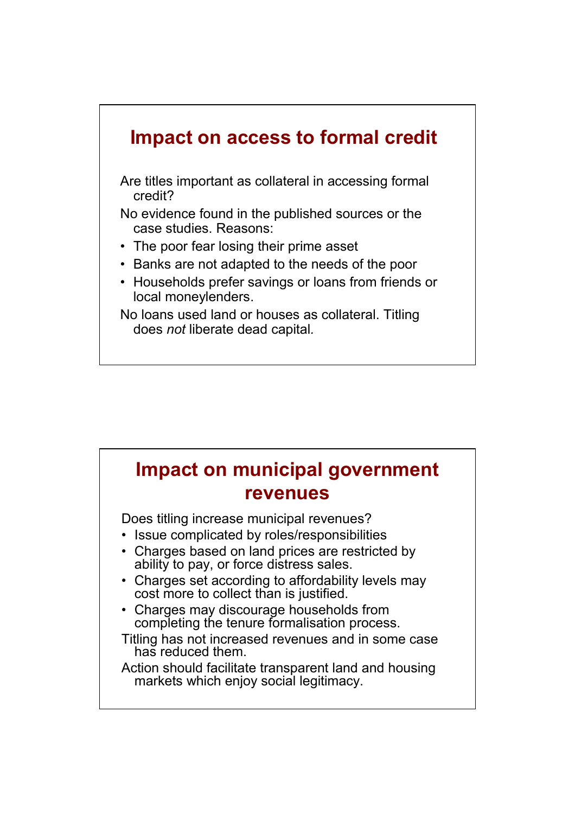

| <b>Impact on municipal government</b><br><b>revenues</b>                                                                                                                                                                                                                                                                                                                                                                                                                                                                                                                |
|-------------------------------------------------------------------------------------------------------------------------------------------------------------------------------------------------------------------------------------------------------------------------------------------------------------------------------------------------------------------------------------------------------------------------------------------------------------------------------------------------------------------------------------------------------------------------|
| Does titling increase municipal revenues?<br>• Issue complicated by roles/responsibilities<br>• Charges based on land prices are restricted by<br>ability to pay, or force distress sales.<br>• Charges set according to affordability levels may<br>cost more to collect than is justified.<br>• Charges may discourage households from<br>completing the tenure formalisation process.<br>Titling has not increased revenues and in some case<br>has reduced them.<br>Action should facilitate transparent land and housing<br>markets which enjoy social legitimacy. |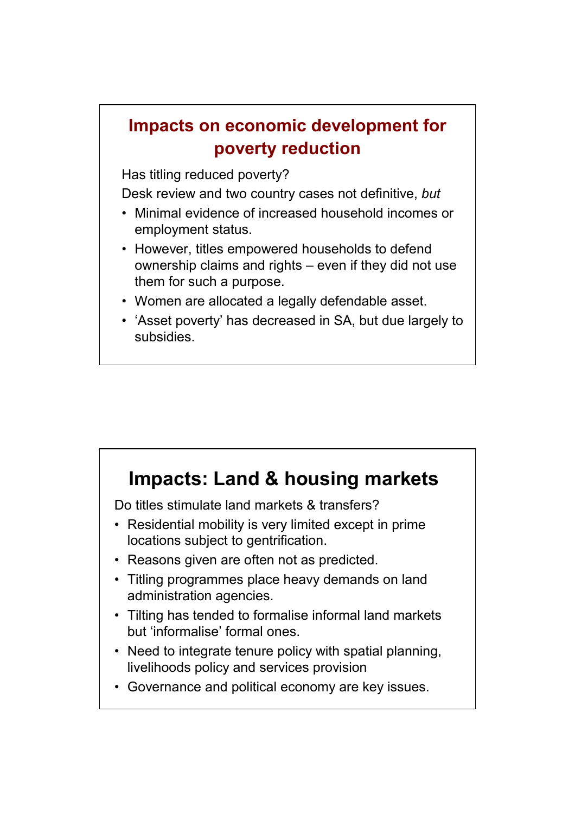#### **Impacts on economic development for poverty reduction**

Has titling reduced poverty?

Desk review and two country cases not definitive, *but*

- Minimal evidence of increased household incomes or employment status.
- However, titles empowered households to defend ownership claims and rights – even if they did not use them for such a purpose.
- Women are allocated a legally defendable asset.
- 'Asset poverty' has decreased in SA, but due largely to subsidies.

## **Impacts: Land & housing markets**

Do titles stimulate land markets & transfers?

- Residential mobility is very limited except in prime locations subject to gentrification.
- Reasons given are often not as predicted.
- Titling programmes place heavy demands on land administration agencies.
- Tilting has tended to formalise informal land markets but 'informalise' formal ones.
- Need to integrate tenure policy with spatial planning, livelihoods policy and services provision
- Governance and political economy are key issues.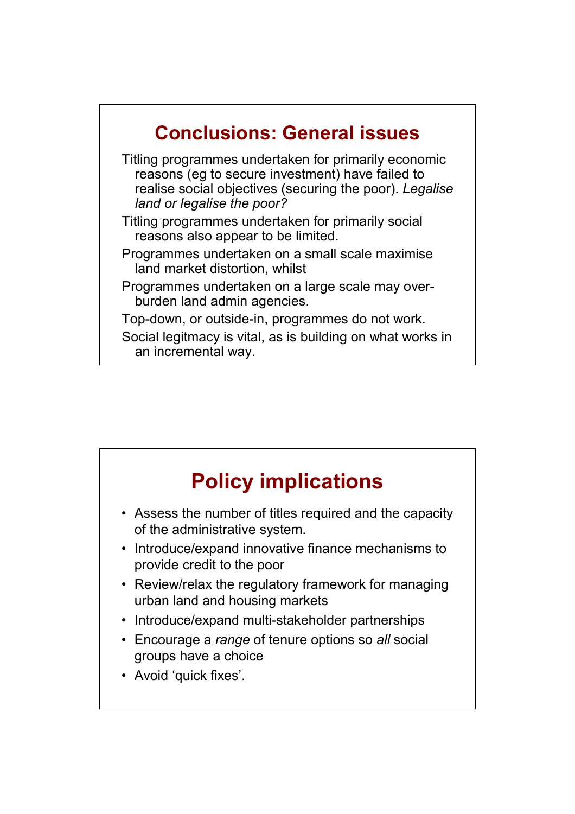